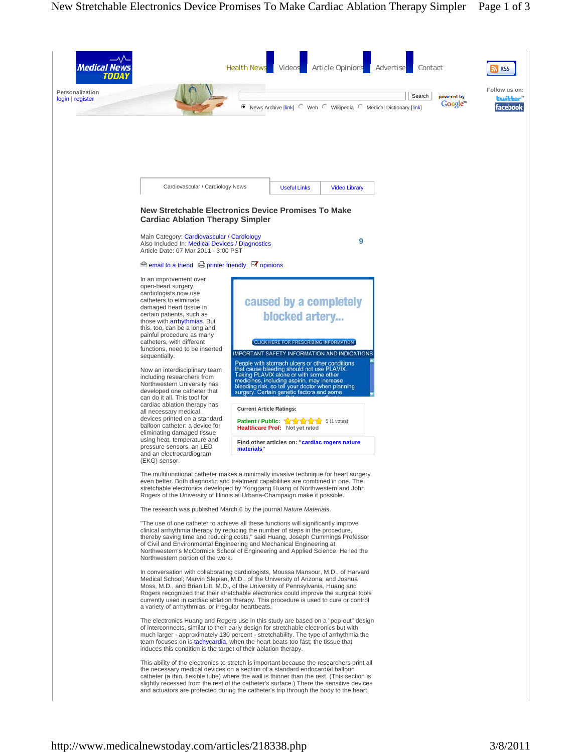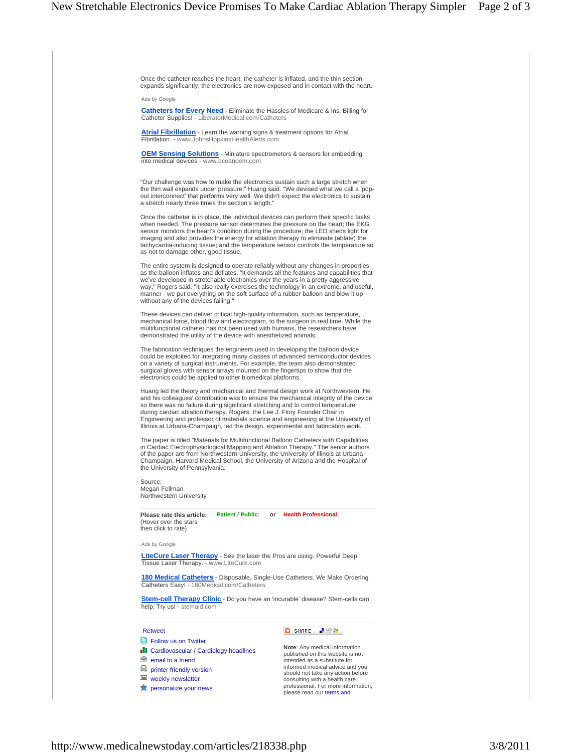Once the catheter reaches the heart, the catheter is inflated, and the thin section expands significantly; the electronics are now exposed and in contact with the heart.

Ads by Google

**Catheters for Every Need** - Eliminate the Hassles of Medicare & Ins. Billing for Catheter Supplies! - LiberatorMedical.com/Catheters

**Atrial Fibrillation** - Learn the warning signs & treatment options for Atrial Fibrillation. - www.JohnsHopkinsHealthAlerts.com

**OEM Sensing Solutions** - Miniature spectrometers & sensors for embedding into medical devices - www.oceanoem.com

"Our challenge was how to make the electronics sustain such a large stretch when<br>the thin wall expands under pressure," Huang said. "We devised what we call a 'pop-<br>out interconnect' that performs very well. We didn't expe

Once the catheter is in place, the individual devices can perform their specific tasks when needed. The pressure sensor determines the pressure on the heart; the EKG sensor monitors the heart's condition during the procedure; the LED sheds light for imaging and also provides the energy for ablation therapy to eliminate (ablate) the tachycardia-inducing tissue; and the temperature sensor controls the temperature so as not to damage other, good tissue.

The entire system is designed to operate reliably without any changes in properties as the balloon inflates and deflates. "It demands all the features and capabilities that we've developed in stretchable electronics over the years in a pretty aggressive way," Rogers said. "It also really exercises the technology in an extreme, and useful, manner - we put everything on the soft surface of a rubber balloon and blow it up without any of the devices failing."

These devices can deliver critical high-quality information, such as temperature, mechanical force, blood flow and electrogram, to the surgeon in real time. While the multifunctional catheter has not been used with humans, the researchers have demonstrated the utility of the device with anesthetized animals.

The fabrication techniques the engineers used in developing the balloon device could be exploited for integrating many classes of advanced semiconductor devices on a variety of surgical instruments. For example, the team also demonstrated surgical gloves with sensor arrays mounted on the fingertips to show that the electronics could be applied to other biomedical platforms.

Huang led the theory and mechanical and thermal design work at Northwestern. He and his colleagues' contribution was to ensure the mechanical integrity of the device so there was no failure during significant stretching and to control temperature during cardiac ablation therapy. Rogers, the Lee J. Flory Founder Chair in Engineering and professor of materials science and engineering at the University of Illinois at Urbana-Champaign, led the design, experimental and fabrication work.

The paper is titled "Materials for Multifunctional Balloon Catheters with Capabilities in Cardiac Electrophysiological Mapping and Ablation Therapy." The senior authors of the paper are from Northwestern University, the University of Illinois at Urbana-Champaign, Harvard Medical School, the University of Arizona and the Hospital of the University of Pennsylvania.

Source: Megan Fellman Northwestern University

Please rate this article: Patient / Public: or Health Professional: (Hover over the stars then click to rate)

Ads by Google

**LiteCure Laser Therapy** - See the laser the Pros are using. Powerful Deep Tissue Laser Therapy. - www.LiteCure.com

**180 Medical Catheters** - Disposable, Single-Use Catheters. We Make Ordering Catheters Easy! - 180Medical.com/Catheters

**Stem-cell Therapy Clinic** - Do you have an 'incurable' disease? Stem-cells can help. Try us! - stemaid.com

**B** Follow us on Twitter

**Il** Cardiovascular / Cardiology headlines

- $\triangle$  email to a friend
- printer friendly version

 $\equiv$  weekly newsletter

**X** personalize your news

Retweet **D** SHARE **Retweet** 

**Note**: Any medical information published on this website is not intended as a substitute for informed medical advice and you should not take any action before consulting with a health care professional. For more information, please read our terms and